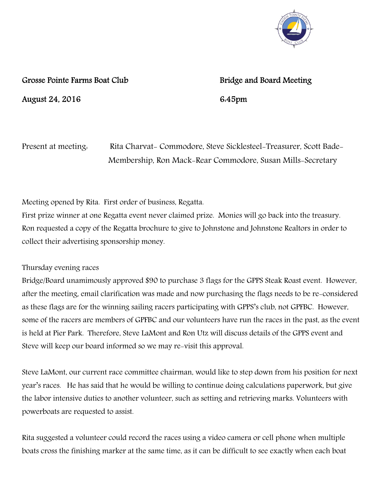

## Grosse Pointe Farms Boat Club Bridge and Board Meeting

August 24, 2016 6:45pm

Present at meeting: Rita Charvat- Commodore, Steve Sicklesteel-Treasurer, Scott Bade- Membership, Ron Mack-Rear Commodore, Susan Mills-Secretary

Meeting opened by Rita. First order of business, Regatta.

First prize winner at one Regatta event never claimed prize. Monies will go back into the treasury. Ron requested a copy of the Regatta brochure to give to Johnstone and Johnstone Realtors in order to collect their advertising sponsorship money.

## Thursday evening races

Bridge/Board unamimously approved \$90 to purchase 3 flags for the GPPS Steak Roast event. However, after the meeting, email clarification was made and now purchasing the flags needs to be re-considered as these flags are for the winning sailing racers participating with GPPS's club, not GPFBC. However, some of the racers are members of GPFBC and our volunteers have run the races in the past, as the event is held at Pier Park. Therefore, Steve LaMont and Ron Utz will discuss details of the GPPS event and Steve will keep our board informed so we may re-visit this approval.

Steve LaMont, our current race committee chairman, would like to step down from his position for next year's races. He has said that he would be willing to continue doing calculations paperwork, but give the labor intensive duties to another volunteer, such as setting and retrieving marks. Volunteers with powerboats are requested to assist.

Rita suggested a volunteer could record the races using a video camera or cell phone when multiple boats cross the finishing marker at the same time, as it can be difficult to see exactly when each boat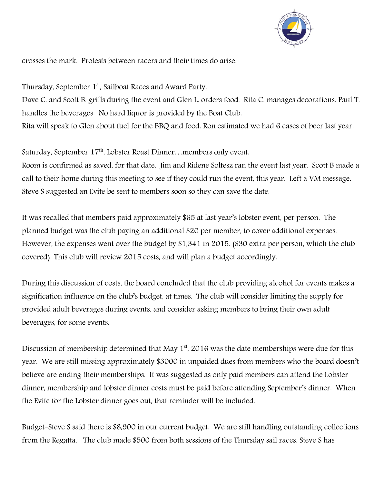

crosses the mark. Protests between racers and their times do arise.

Thursday, September 1<sup>st</sup>, Sailboat Races and Award Party.

Dave C. and Scott B. grills during the event and Glen L. orders food. Rita C. manages decorations. Paul T. handles the beverages. No hard liquor is provided by the Boat Club. Rita will speak to Glen about fuel for the BBQ and food. Ron estimated we had 6 cases of beer last year.

Saturday, September 17<sup>th</sup>, Lobster Roast Dinner...members only event. Room is confirmed as saved, for that date. Jim and Ridene Soltesz ran the event last year. Scott B made a call to their home during this meeting to see if they could run the event, this year. Left a VM message. Steve S suggested an Evite be sent to members soon so they can save the date.

It was recalled that members paid approximately \$65 at last year's lobster event, per person. The planned budget was the club paying an additional \$20 per member, to cover additional expenses. However, the expenses went over the budget by \$1,341 in 2015. (\$30 extra per person, which the club covered) This club will review 2015 costs, and will plan a budget accordingly.

During this discussion of costs, the board concluded that the club providing alcohol for events makes a signification influence on the club's budget, at times. The club will consider limiting the supply for provided adult beverages during events, and consider asking members to bring their own adult beverages, for some events.

Discussion of membership determined that May  $1<sup>st</sup>$ , 2016 was the date memberships were due for this year. We are still missing approximately \$3000 in unpaided dues from members who the board doesn't believe are ending their memberships. It was suggested as only paid members can attend the Lobster dinner, membership and lobster dinner costs must be paid before attending September's dinner. When the Evite for the Lobster dinner goes out, that reminder will be included.

Budget-Steve S said there is \$8,900 in our current budget. We are still handling outstanding collections from the Regatta. The club made \$500 from both sessions of the Thursday sail races. Steve S has